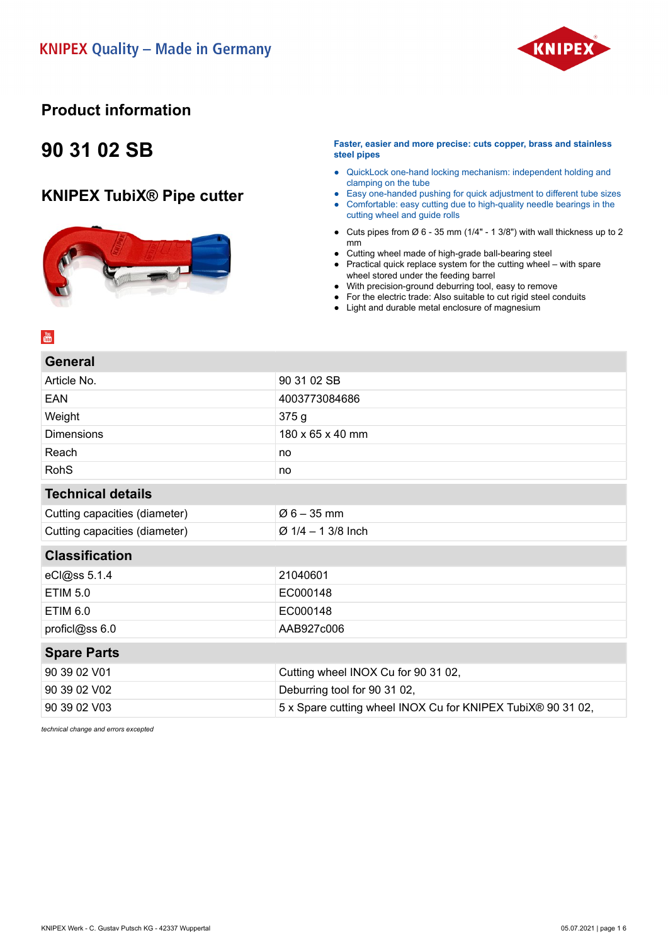

#### **Product information**

#### **90 31 02 SB**

#### **KNIPEX TubiX® Pipe cutter**



**Faster, easier and more precise: cuts copper, brass and stainless steel pipes**

- QuickLock one-hand locking mechanism: independent holding and clamping on the tube
- Easy one-handed pushing for quick adjustment to different tube sizes ● Comfortable: easy cutting due to high-quality needle bearings in the cutting wheel and guide rolls
- Cuts pipes from  $\varnothing$  6 35 mm (1/4" 1 3/8") with wall thickness up to 2 mm
- Cutting wheel made of high-grade ball-bearing steel<br>● Practical quick replace system for the cutting wheel
- Practical quick replace system for the cutting wheel with spare wheel stored under the feeding barrel
- With precision-ground deburring tool, easy to remove
- For the electric trade: Also suitable to cut rigid steel conduits
- Light and durable metal enclosure of magnesium

| General                       |                                                             |
|-------------------------------|-------------------------------------------------------------|
| Article No.                   | 90 31 02 SB                                                 |
| EAN                           | 4003773084686                                               |
| Weight                        | 375g                                                        |
| <b>Dimensions</b>             | 180 x 65 x 40 mm                                            |
| Reach                         | no                                                          |
| <b>RohS</b>                   | no                                                          |
| <b>Technical details</b>      |                                                             |
| Cutting capacities (diameter) | $Ø 6 - 35$ mm                                               |
| Cutting capacities (diameter) | $\varnothing$ 1/4 – 1 3/8 lnch                              |
| <b>Classification</b>         |                                                             |
| eCl@ss 5.1.4                  | 21040601                                                    |
| <b>ETIM 5.0</b>               | EC000148                                                    |
| <b>ETIM 6.0</b>               | EC000148                                                    |
| proficl@ss 6.0                | AAB927c006                                                  |
| <b>Spare Parts</b>            |                                                             |
| 90 39 02 V01                  | Cutting wheel INOX Cu for 90 31 02,                         |
| 90 39 02 V02                  | Deburring tool for 90 31 02,                                |
| 90 39 02 V03                  | 5 x Spare cutting wheel INOX Cu for KNIPEX TubiX® 90 31 02, |
|                               |                                                             |

*technical change and errors excepted*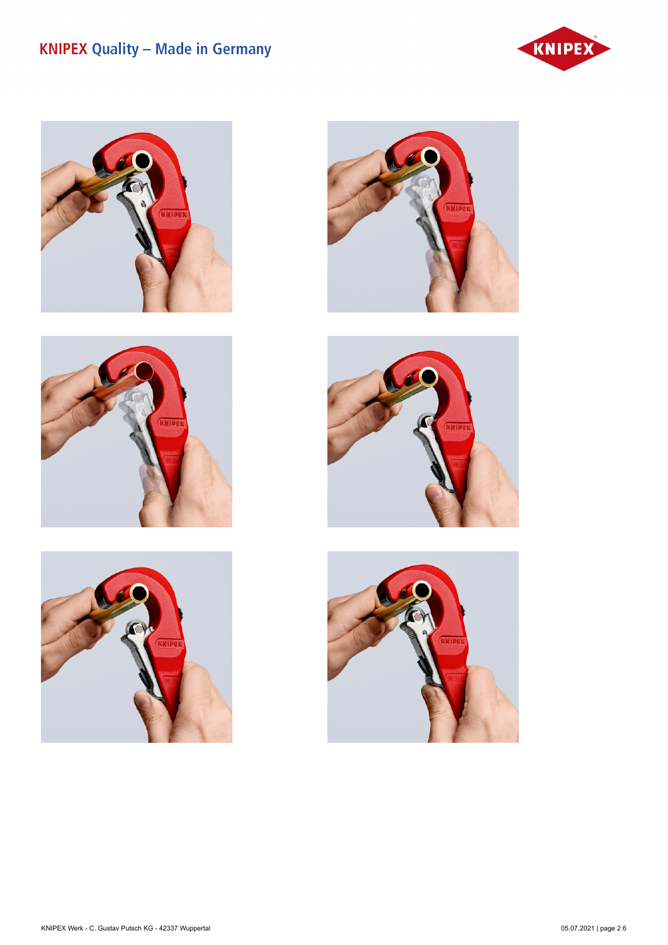











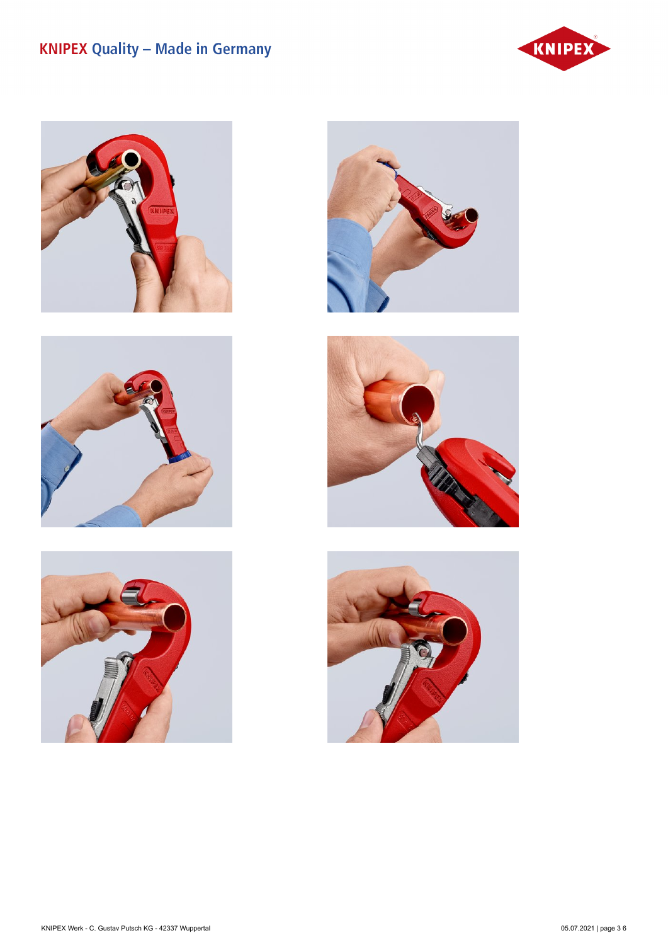











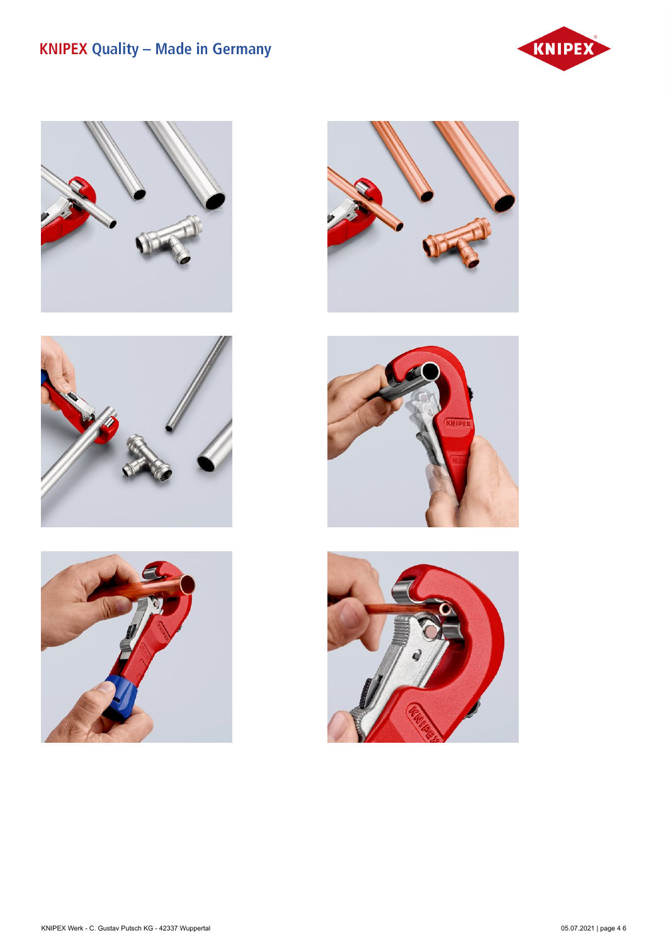











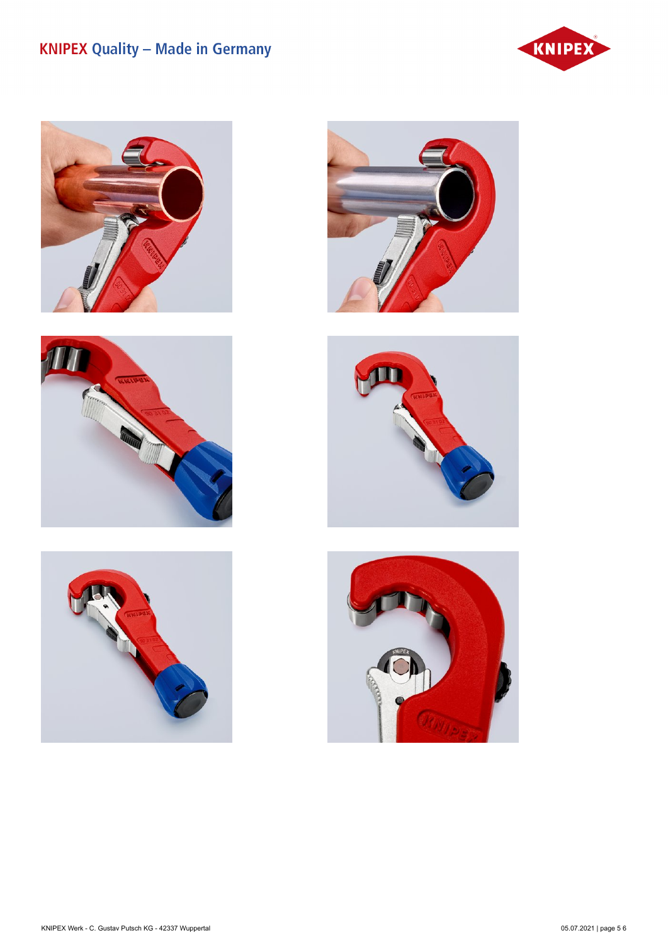